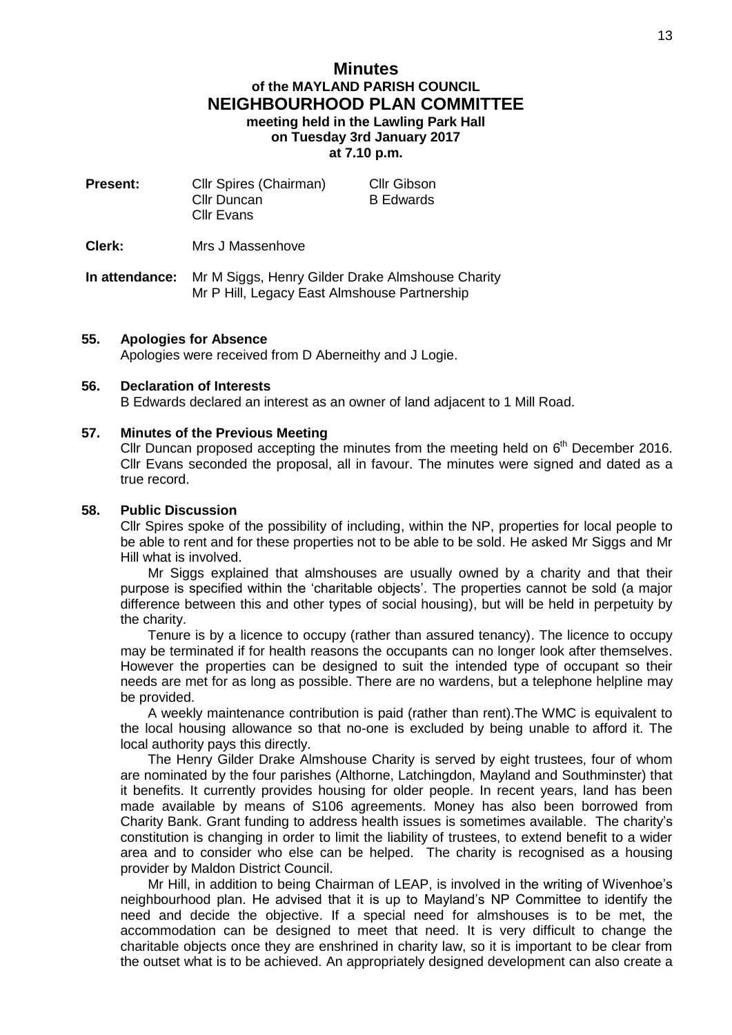# **Minutes of the MAYLAND PARISH COUNCIL NEIGHBOURHOOD PLAN COMMITTEE meeting held in the Lawling Park Hall on Tuesday 3rd January 2017 at 7.10 p.m.**

| <b>Present:</b> | Cllr Spires (Chairman)<br><b>Cllr Duncan</b><br><b>Cllr Evans</b> | Cllr Gibson<br><b>B</b> Edwards |
|-----------------|-------------------------------------------------------------------|---------------------------------|
| Clerk:          | Mrs J Massenhove                                                  |                                 |

**In attendance:** Mr M Siggs, Henry Gilder Drake Almshouse Charity Mr P Hill, Legacy East Almshouse Partnership

## **55. Apologies for Absence**

Apologies were received from D Aberneithy and J Logie.

## **56. Declaration of Interests**

B Edwards declared an interest as an owner of land adjacent to 1 Mill Road.

## **57. Minutes of the Previous Meeting**

Cllr Duncan proposed accepting the minutes from the meeting held on  $6<sup>th</sup>$  December 2016. Cllr Evans seconded the proposal, all in favour. The minutes were signed and dated as a true record.

## **58. Public Discussion**

Cllr Spires spoke of the possibility of including, within the NP, properties for local people to be able to rent and for these properties not to be able to be sold. He asked Mr Siggs and Mr Hill what is involved.

Mr Siggs explained that almshouses are usually owned by a charity and that their purpose is specified within the 'charitable objects'. The properties cannot be sold (a major difference between this and other types of social housing), but will be held in perpetuity by the charity.

Tenure is by a licence to occupy (rather than assured tenancy). The licence to occupy may be terminated if for health reasons the occupants can no longer look after themselves. However the properties can be designed to suit the intended type of occupant so their needs are met for as long as possible. There are no wardens, but a telephone helpline may be provided.

A weekly maintenance contribution is paid (rather than rent).The WMC is equivalent to the local housing allowance so that no-one is excluded by being unable to afford it. The local authority pays this directly.

The Henry Gilder Drake Almshouse Charity is served by eight trustees, four of whom are nominated by the four parishes (Althorne, Latchingdon, Mayland and Southminster) that it benefits. It currently provides housing for older people. In recent years, land has been made available by means of S106 agreements. Money has also been borrowed from Charity Bank. Grant funding to address health issues is sometimes available. The charity's constitution is changing in order to limit the liability of trustees, to extend benefit to a wider area and to consider who else can be helped. The charity is recognised as a housing provider by Maldon District Council.

Mr Hill, in addition to being Chairman of LEAP, is involved in the writing of Wivenhoe's neighbourhood plan. He advised that it is up to Mayland's NP Committee to identify the need and decide the objective. If a special need for almshouses is to be met, the accommodation can be designed to meet that need. It is very difficult to change the charitable objects once they are enshrined in charity law, so it is important to be clear from the outset what is to be achieved. An appropriately designed development can also create a